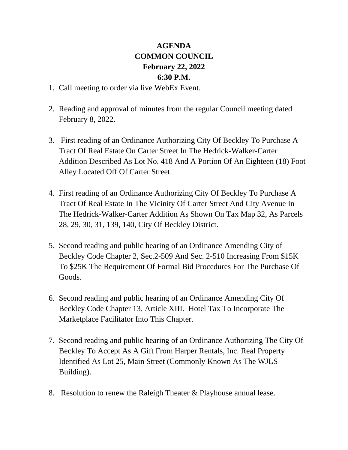## **AGENDA COMMON COUNCIL February 22, 2022 6:30 P.M.**

- 1. Call meeting to order via live WebEx Event.
- 2. Reading and approval of minutes from the regular Council meeting dated February 8, 2022.
- 3. First reading of an Ordinance Authorizing City Of Beckley To Purchase A Tract Of Real Estate On Carter Street In The Hedrick-Walker-Carter Addition Described As Lot No. 418 And A Portion Of An Eighteen (18) Foot Alley Located Off Of Carter Street.
- 4. First reading of an Ordinance Authorizing City Of Beckley To Purchase A Tract Of Real Estate In The Vicinity Of Carter Street And City Avenue In The Hedrick-Walker-Carter Addition As Shown On Tax Map 32, As Parcels 28, 29, 30, 31, 139, 140, City Of Beckley District.
- 5. Second reading and public hearing of an Ordinance Amending City of Beckley Code Chapter 2, Sec.2-509 And Sec. 2-510 Increasing From \$15K To \$25K The Requirement Of Formal Bid Procedures For The Purchase Of Goods.
- 6. Second reading and public hearing of an Ordinance Amending City Of Beckley Code Chapter 13, Article XIII. Hotel Tax To Incorporate The Marketplace Facilitator Into This Chapter.
- 7. Second reading and public hearing of an Ordinance Authorizing The City Of Beckley To Accept As A Gift From Harper Rentals, Inc. Real Property Identified As Lot 25, Main Street (Commonly Known As The WJLS Building).
- 8. Resolution to renew the Raleigh Theater & Playhouse annual lease.